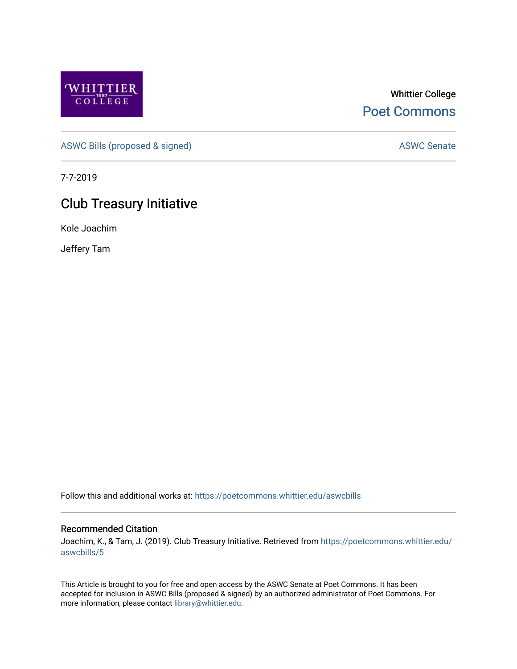

## Whittier College [Poet Commons](https://poetcommons.whittier.edu/)

[ASWC Bills \(proposed & signed\)](https://poetcommons.whittier.edu/aswcbills) ASWC Senate

7-7-2019

## Club Treasury Initiative

Kole Joachim

Jeffery Tam

Follow this and additional works at: [https://poetcommons.whittier.edu/aswcbills](https://poetcommons.whittier.edu/aswcbills?utm_source=poetcommons.whittier.edu%2Faswcbills%2F5&utm_medium=PDF&utm_campaign=PDFCoverPages) 

## Recommended Citation

Joachim, K., & Tam, J. (2019). Club Treasury Initiative. Retrieved from [https://poetcommons.whittier.edu/](https://poetcommons.whittier.edu/aswcbills/5?utm_source=poetcommons.whittier.edu%2Faswcbills%2F5&utm_medium=PDF&utm_campaign=PDFCoverPages) [aswcbills/5](https://poetcommons.whittier.edu/aswcbills/5?utm_source=poetcommons.whittier.edu%2Faswcbills%2F5&utm_medium=PDF&utm_campaign=PDFCoverPages)

This Article is brought to you for free and open access by the ASWC Senate at Poet Commons. It has been accepted for inclusion in ASWC Bills (proposed & signed) by an authorized administrator of Poet Commons. For more information, please contact [library@whittier.edu.](mailto:library@whittier.edu)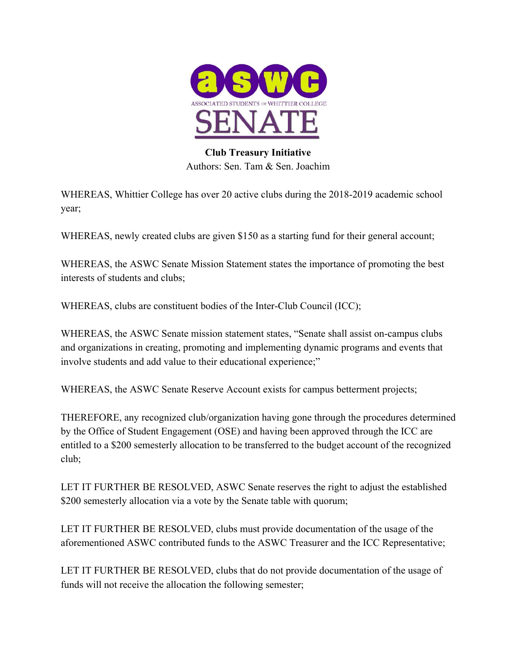

## **Club Treasury Initiative** Authors: Sen. Tam & Sen. Joachim

WHEREAS, Whittier College has over 20 active clubs during the 2018-2019 academic school year;

WHEREAS, newly created clubs are given \$150 as a starting fund for their general account;

WHEREAS, the ASWC Senate Mission Statement states the importance of promoting the best interests of students and clubs;

WHEREAS, clubs are constituent bodies of the Inter-Club Council (ICC);

WHEREAS, the ASWC Senate mission statement states, "Senate shall assist on-campus clubs and organizations in creating, promoting and implementing dynamic programs and events that involve students and add value to their educational experience;"

WHEREAS, the ASWC Senate Reserve Account exists for campus betterment projects;

THEREFORE, any recognized club/organization having gone through the procedures determined by the Office of Student Engagement (OSE) and having been approved through the ICC are entitled to a \$200 semesterly allocation to be transferred to the budget account of the recognized club;

LET IT FURTHER BE RESOLVED, ASWC Senate reserves the right to adjust the established \$200 semesterly allocation via a vote by the Senate table with quorum;

LET IT FURTHER BE RESOLVED, clubs must provide documentation of the usage of the aforementioned ASWC contributed funds to the ASWC Treasurer and the ICC Representative;

LET IT FURTHER BE RESOLVED, clubs that do not provide documentation of the usage of funds will not receive the allocation the following semester;